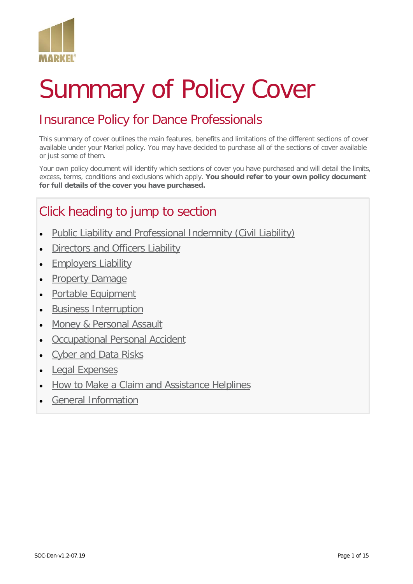

# Summary of Policy Cover

# Insurance Policy for Dance Professionals

This summary of cover outlines the main features, benefits and limitations of the different sections of cover available under your Markel policy. You may have decided to purchase all of the sections of cover available or just some of them.

Your own policy document will identify which sections of cover you have purchased and will detail the limits, excess, terms, conditions and exclusions which apply. **You should refer to your own policy document for full details of the cover you have purchased.**

# Click heading to jump to section

- [Public Liability and Professional Indemnity \(Civil Liability\)](#page-1-0)
- **[Directors and Officers Liability](#page-2-0)**
- [Employers Liability](#page-3-0)
- [Property Damage](#page-4-0)
- [Portable Equipment](#page-6-0)
- [Business Interruption](#page-7-0)
- [Money & Personal Assault](#page-8-0)
- [Occupational Personal Accident](#page-9-0)
- [Cyber and Data Risks](#page-10-0)
- [Legal Expenses](#page-11-0)
- [How to Make a Claim and Assistance Helplines](#page-12-0)
- [General Information](#page-13-0)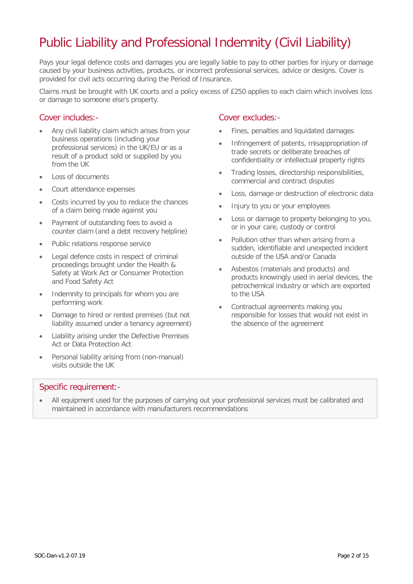# <span id="page-1-0"></span>Public Liability and Professional Indemnity (Civil Liability)

Pays your legal defence costs and damages you are legally liable to pay to other parties for injury or damage caused by your business activities, products, or incorrect professional services, advice or designs. Cover is provided for civil acts occurring during the Period of Insurance.

Claims must be brought with UK courts and a policy excess of £250 applies to each claim which involves loss or damage to someone else's property.

#### Cover includes:-

- Any civil liability claim which arises from your business operations (including your professional services) in the UK/EU or as a result of a product sold or supplied by you from the UK
- Loss of documents
- Court attendance expenses
- Costs incurred by you to reduce the chances of a claim being made against you
- Payment of outstanding fees to avoid a counter claim (and a debt recovery helpline)
- Public relations response service
- Legal defence costs in respect of criminal proceedings brought under the Health & Safety at Work Act or Consumer Protection and Food Safety Act
- Indemnity to principals for whom you are performing work
- Damage to hired or rented premises (but not liability assumed under a tenancy agreement)
- Liability arising under the Defective Premises Act or Data Protection Act
- Personal liability arising from (non-manual) visits outside the UK

#### Cover excludes:-

- Fines, penalties and liquidated damages
- Infringement of patents, misappropriation of trade secrets or deliberate breaches of confidentiality or intellectual property rights
- Trading losses, directorship responsibilities, commercial and contract disputes
- Loss, damage or destruction of electronic data
- Injury to you or your employees
- Loss or damage to property belonging to you, or in your care, custody or control
- Pollution other than when arising from a sudden, identifiable and unexpected incident outside of the USA and/or Canada
- Asbestos (materials and products) and products knowingly used in aerial devices, the petrochemical industry or which are exported to the USA
- Contractual agreements making you responsible for losses that would not exist in the absence of the agreement

#### Specific requirement:-

• All equipment used for the purposes of carrying out your professional services must be calibrated and maintained in accordance with manufacturers recommendations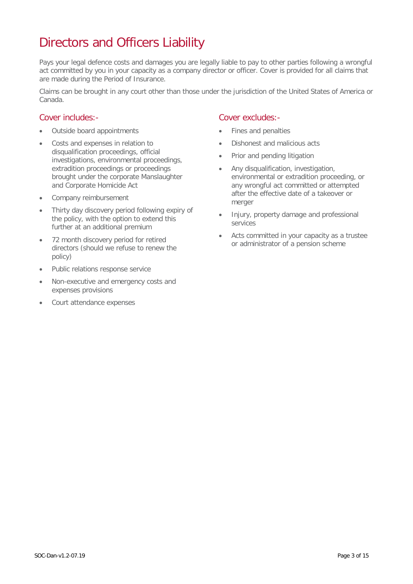# <span id="page-2-0"></span>Directors and Officers Liability

Pays your legal defence costs and damages you are legally liable to pay to other parties following a wrongful act committed by you in your capacity as a company director or officer. Cover is provided for all claims that are made during the Period of Insurance.

Claims can be brought in any court other than those under the jurisdiction of the United States of America or Canada.

#### Cover includes:-

- Outside board appointments
- Costs and expenses in relation to disqualification proceedings, official investigations, environmental proceedings, extradition proceedings or proceedings brought under the corporate Manslaughter and Corporate Homicide Act
- Company reimbursement
- Thirty day discovery period following expiry of the policy, with the option to extend this further at an additional premium
- 72 month discovery period for retired directors (should we refuse to renew the policy)
- Public relations response service
- Non-executive and emergency costs and expenses provisions
- Court attendance expenses

- Fines and penalties
- Dishonest and malicious acts
- Prior and pending litigation
- Any disqualification, investigation, environmental or extradition proceeding, or any wrongful act committed or attempted after the effective date of a takeover or merger
- Injury, property damage and professional services
- Acts committed in your capacity as a trustee or administrator of a pension scheme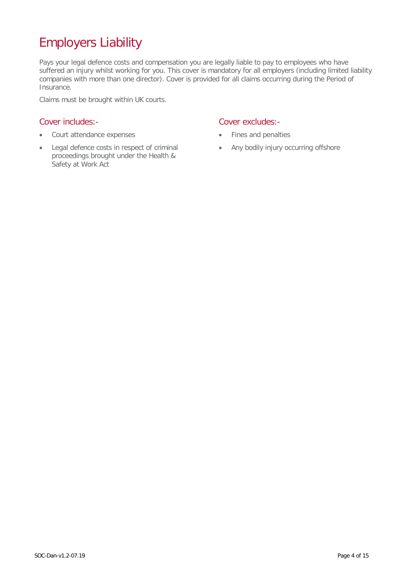# <span id="page-3-0"></span>Employers Liability

Pays your legal defence costs and compensation you are legally liable to pay to employees who have suffered an injury whilst working for you. This cover is mandatory for all employers (including limited liability companies with more than one director). Cover is provided for all claims occurring during the Period of Insurance.

Claims must be brought within UK courts.

#### Cover includes:-

- Court attendance expenses
- Legal defence costs in respect of criminal proceedings brought under the Health & Safety at Work Act

- Fines and penalties
- Any bodily injury occurring offshore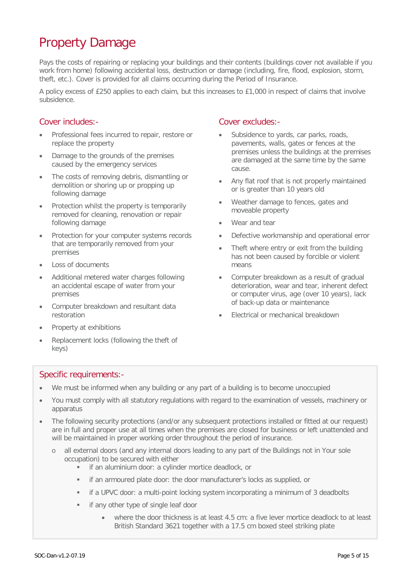# <span id="page-4-0"></span>Property Damage

Pays the costs of repairing or replacing your buildings and their contents (buildings cover not available if you work from home) following accidental loss, destruction or damage (including, fire, flood, explosion, storm, theft, etc.). Cover is provided for all claims occurring during the Period of Insurance.

A policy excess of £250 applies to each claim, but this increases to £1,000 in respect of claims that involve subsidence.

#### Cover includes:-

- Professional fees incurred to repair, restore or replace the property
- Damage to the grounds of the premises caused by the emergency services
- The costs of removing debris, dismantling or demolition or shoring up or propping up following damage
- Protection whilst the property is temporarily removed for cleaning, renovation or repair following damage
- Protection for your computer systems records that are temporarily removed from your premises
- Loss of documents
- Additional metered water charges following an accidental escape of water from your premises
- Computer breakdown and resultant data restoration
- Property at exhibitions
- Replacement locks (following the theft of keys)

#### Cover excludes:-

- Subsidence to yards, car parks, roads, pavements, walls, gates or fences at the premises unless the buildings at the premises are damaged at the same time by the same cause.
- Any flat roof that is not properly maintained or is greater than 10 years old
- Weather damage to fences, gates and moveable property
- Wear and tear
- Defective workmanship and operational error
- Theft where entry or exit from the building has not been caused by forcible or violent means
- Computer breakdown as a result of gradual deterioration, wear and tear, inherent defect or computer virus, age (over 10 years), lack of back-up data or maintenance
- Electrical or mechanical breakdown

#### Specific requirements:-

- We must be informed when any building or any part of a building is to become unoccupied
- You must comply with all statutory regulations with regard to the examination of vessels, machinery or apparatus
- The following security protections (and/or any subsequent protections installed or fitted at our request) are in full and proper use at all times when the premises are closed for business or left unattended and will be maintained in proper working order throughout the period of insurance.
	- o all external doors (and any internal doors leading to any part of the Buildings not in Your sole occupation) to be secured with either
		- **i** if an aluminium door: a cylinder mortice deadlock, or
		- if an armoured plate door: the door manufacturer's locks as supplied, or
		- if a UPVC door: a multi-point locking system incorporating a minimum of 3 deadbolts
		- **ii** if any other type of single leaf door
			- where the door thickness is at least 4.5 cm: a five lever mortice deadlock to at least British Standard 3621 together with a 17.5 cm boxed steel striking plate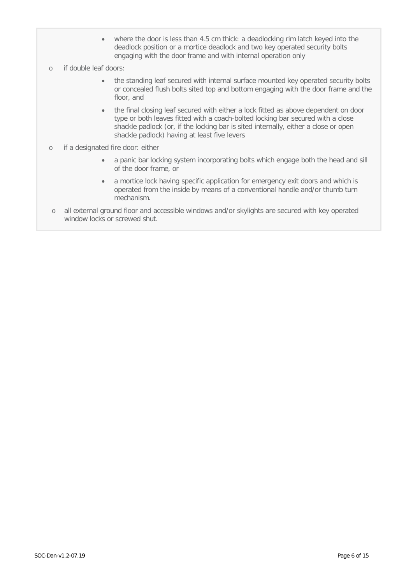- where the door is less than 4.5 cm thick: a deadlocking rim latch keyed into the deadlock position or a mortice deadlock and two key operated security bolts engaging with the door frame and with internal operation only
- o if double leaf doors:
	- the standing leaf secured with internal surface mounted key operated security bolts or concealed flush bolts sited top and bottom engaging with the door frame and the floor, and
	- the final closing leaf secured with either a lock fitted as above dependent on door type or both leaves fitted with a coach-bolted locking bar secured with a close shackle padlock (or, if the locking bar is sited internally, either a close or open shackle padlock) having at least five levers
- o if a designated fire door: either
	- a panic bar locking system incorporating bolts which engage both the head and sill of the door frame, or
	- a mortice lock having specific application for emergency exit doors and which is operated from the inside by means of a conventional handle and/or thumb turn mechanism.
- o all external ground floor and accessible windows and/or skylights are secured with key operated window locks or screwed shut.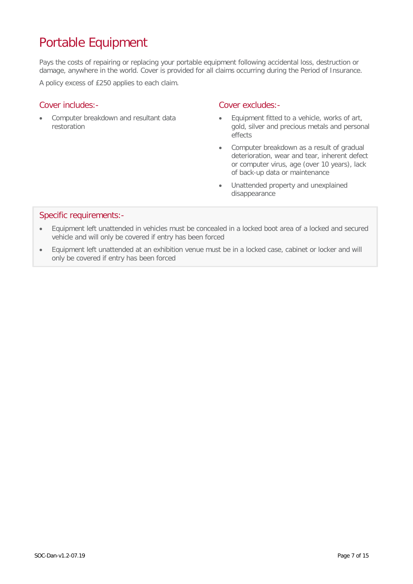# <span id="page-6-0"></span>Portable Equipment

Pays the costs of repairing or replacing your portable equipment following accidental loss, destruction or damage, anywhere in the world. Cover is provided for all claims occurring during the Period of Insurance.

A policy excess of £250 applies to each claim.

#### Cover includes:-

• Computer breakdown and resultant data restoration

#### Cover excludes:-

- Equipment fitted to a vehicle, works of art, gold, silver and precious metals and personal effects
- Computer breakdown as a result of gradual deterioration, wear and tear, inherent defect or computer virus, age (over 10 years), lack of back-up data or maintenance
- Unattended property and unexplained disappearance

#### Specific requirements:-

- Equipment left unattended in vehicles must be concealed in a locked boot area of a locked and secured vehicle and will only be covered if entry has been forced
- Equipment left unattended at an exhibition venue must be in a locked case, cabinet or locker and will only be covered if entry has been forced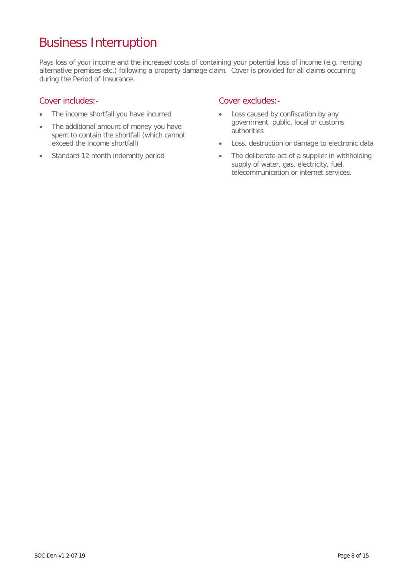### <span id="page-7-0"></span>Business Interruption

Pays loss of your income and the increased costs of containing your potential loss of income (e.g. renting alternative premises etc.) following a property damage claim. Cover is provided for all claims occurring during the Period of Insurance.

#### Cover includes:-

- The income shortfall you have incurred
- The additional amount of money you have spent to contain the shortfall (which cannot exceed the income shortfall)
- Standard 12 month indemnity period

- Loss caused by confiscation by any government, public, local or customs authorities
- Loss, destruction or damage to electronic data
- The deliberate act of a supplier in withholding supply of water, gas, electricity, fuel, telecommunication or internet services.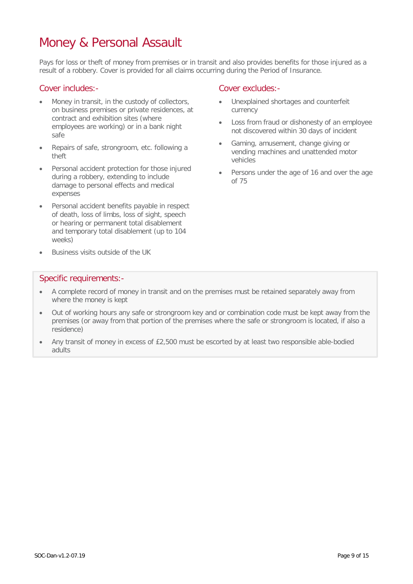### <span id="page-8-0"></span>Money & Personal Assault

Pays for loss or theft of money from premises or in transit and also provides benefits for those injured as a result of a robbery. Cover is provided for all claims occurring during the Period of Insurance.

#### Cover includes:-

- Money in transit, in the custody of collectors, on business premises or private residences, at contract and exhibition sites (where employees are working) or in a bank night safe
- Repairs of safe, strongroom, etc. following a theft
- Personal accident protection for those injured during a robbery, extending to include damage to personal effects and medical expenses
- Personal accident benefits payable in respect of death, loss of limbs, loss of sight, speech or hearing or permanent total disablement and temporary total disablement (up to 104 weeks)
- Business visits outside of the UK

#### Cover excludes:-

- Unexplained shortages and counterfeit currency
- Loss from fraud or dishonesty of an employee not discovered within 30 days of incident
- Gaming, amusement, change giving or vending machines and unattended motor vehicles
- Persons under the age of 16 and over the age of 75

#### Specific requirements:-

- A complete record of money in transit and on the premises must be retained separately away from where the money is kept
- Out of working hours any safe or strongroom key and or combination code must be kept away from the premises (or away from that portion of the premises where the safe or strongroom is located, if also a residence)
- Any transit of money in excess of £2,500 must be escorted by at least two responsible able-bodied adults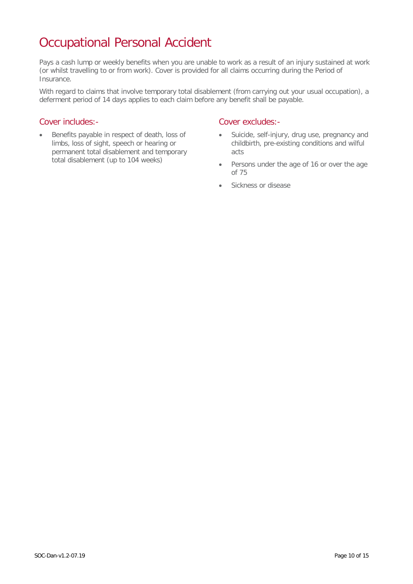# <span id="page-9-0"></span>Occupational Personal Accident

Pays a cash lump or weekly benefits when you are unable to work as a result of an injury sustained at work (or whilst travelling to or from work). Cover is provided for all claims occurring during the Period of Insurance.

With regard to claims that involve temporary total disablement (from carrying out your usual occupation), a deferment period of 14 days applies to each claim before any benefit shall be payable.

#### Cover includes:-

• Benefits payable in respect of death, loss of limbs, loss of sight, speech or hearing or permanent total disablement and temporary total disablement (up to 104 weeks)

- Suicide, self-injury, drug use, pregnancy and childbirth, pre-existing conditions and wilful acts
- Persons under the age of 16 or over the age of 75
- Sickness or disease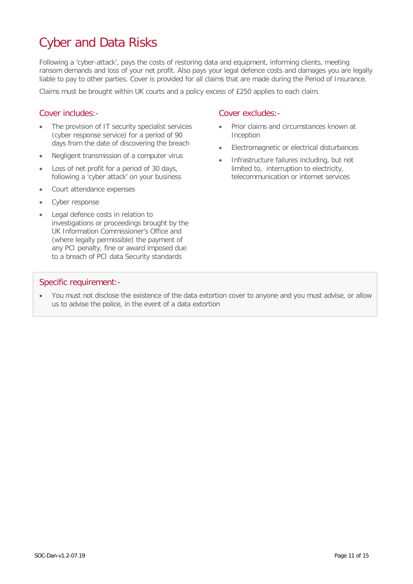# <span id="page-10-0"></span>Cyber and Data Risks

Following a 'cyber-attack', pays the costs of restoring data and equipment, informing clients, meeting ransom demands and loss of your net profit. Also pays your legal defence costs and damages you are legally liable to pay to other parties. Cover is provided for all claims that are made during the Period of Insurance.

Claims must be brought within UK courts and a policy excess of £250 applies to each claim.

#### Cover includes:-

- The provision of IT security specialist services (cyber response service) for a period of 90 days from the date of discovering the breach
- Negligent transmission of a computer virus
- Loss of net profit for a period of 30 days, following a 'cyber attack' on your business
- Court attendance expenses
- Cyber response
- Legal defence costs in relation to investigations or proceedings brought by the UK Information Commissioner's Office and (where legally permissible) the payment of any PCI penalty, fine or award imposed due to a breach of PCI data Security standards

#### Cover excludes:-

- Prior claims and circumstances known at Inception
- Electromagnetic or electrical disturbances
- Infrastructure failures including, but not limited to, interruption to electricity, telecommunication or internet services

#### Specific requirement:-

• You must not disclose the existence of the data extortion cover to anyone and you must advise, or allow us to advise the police, in the event of a data extortion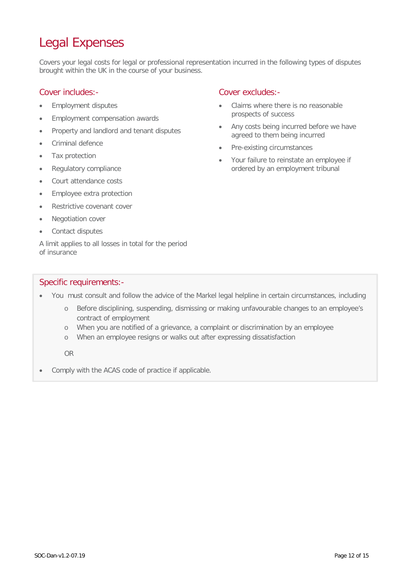# <span id="page-11-0"></span>Legal Expenses

Covers your legal costs for legal or professional representation incurred in the following types of disputes brought within the UK in the course of your business.

#### Cover includes:-

- Employment disputes
- Employment compensation awards
- Property and landlord and tenant disputes
- Criminal defence
- Tax protection
- Regulatory compliance
- Court attendance costs
- Employee extra protection
- Restrictive covenant cover
- Negotiation cover
- Contact disputes

A limit applies to all losses in total for the period of insurance

#### Cover excludes:-

- Claims where there is no reasonable prospects of success
- Any costs being incurred before we have agreed to them being incurred
- Pre-existing circumstances
- Your failure to reinstate an employee if ordered by an employment tribunal

#### Specific requirements:-

- You must consult and follow the advice of the Markel legal helpline in certain circumstances, including
	- o Before disciplining, suspending, dismissing or making unfavourable changes to an employee's contract of employment
	- o When you are notified of a grievance, a complaint or discrimination by an employee
	- o When an employee resigns or walks out after expressing dissatisfaction

OR

• Comply with the ACAS code of practice if applicable.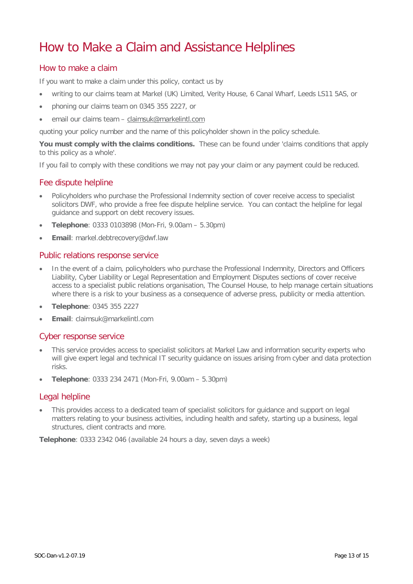### <span id="page-12-0"></span>How to Make a Claim and Assistance Helplines

#### How to make a claim

If you want to make a claim under this policy, contact us by

- writing to our claims team at Markel (UK) Limited, Verity House, 6 Canal Wharf, Leeds LS11 5AS, or
- phoning our claims team on 0345 355 2227, or
- email our claims team [claimsuk@markelintl.com](mailto:claimsuk@markelintl.com)

quoting your policy number and the name of this policyholder shown in the policy schedule.

**You must comply with the claims conditions.** These can be found under 'claims conditions that apply to this policy as a whole'.

If you fail to comply with these conditions we may not pay your claim or any payment could be reduced.

#### Fee dispute helpline

- Policyholders who purchase the Professional Indemnity section of cover receive access to specialist solicitors DWF, who provide a free fee dispute helpline service. You can contact the helpline for legal guidance and support on debt recovery issues.
- **Telephone**: 0333 0103898 (Mon-Fri, 9.00am 5.30pm)
- **Email**: markel.debtrecovery@dwf.law

#### Public relations response service

- In the event of a claim, policyholders who purchase the Professional Indemnity, Directors and Officers Liability, Cyber Liability or Legal Representation and Employment Disputes sections of cover receive access to a specialist public relations organisation, The Counsel House, to help manage certain situations where there is a risk to your business as a consequence of adverse press, publicity or media attention.
- **Telephone**: 0345 355 2227
- **Email**: claimsuk@markelintl.com

#### Cyber response service

- This service provides access to specialist solicitors at Markel Law and information security experts who will give expert legal and technical IT security guidance on issues arising from cyber and data protection risks.
- **Telephone**: 0333 234 2471 (Mon-Fri, 9.00am 5.30pm)

#### Legal helpline

• This provides access to a dedicated team of specialist solicitors for guidance and support on legal matters relating to your business activities, including health and safety, starting up a business, legal structures, client contracts and more.

**Telephone**: 0333 2342 046 (available 24 hours a day, seven days a week)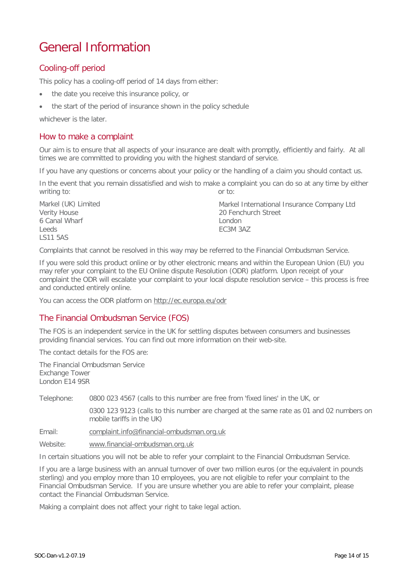### <span id="page-13-0"></span>General Information

#### Cooling-off period

This policy has a cooling-off period of 14 days from either:

- the date you receive this insurance policy, or
- the start of the period of insurance shown in the policy schedule

whichever is the later.

#### How to make a complaint

Our aim is to ensure that all aspects of your insurance are dealt with promptly, efficiently and fairly. At all times we are committed to providing you with the highest standard of service.

If you have any questions or concerns about your policy or the handling of a claim you should contact us.

In the event that you remain dissatisfied and wish to make a complaint you can do so at any time by either writing to:  $\qquad \qquad \text{or to:}$ 

Markel (UK) Limited Verity House 6 Canal Wharf Leeds LS11 5AS Markel International Insurance Company Ltd 20 Fenchurch Street London EC3M 3AZ

Complaints that cannot be resolved in this way may be referred to the Financial Ombudsman Service.

If you were sold this product online or by other electronic means and within the European Union (EU) you may refer your complaint to the EU Online dispute Resolution (ODR) platform. Upon receipt of your complaint the ODR will escalate your complaint to your local dispute resolution service – this process is free and conducted entirely online.

You can access the ODR platform on<http://ec.europa.eu/odr>

#### The Financial Ombudsman Service (FOS)

The FOS is an independent service in the UK for settling disputes between consumers and businesses providing financial services. You can find out more information on their web-site.

The contact details for the FOS are:

The Financial Ombudsman Service Exchange Tower London E14 9SR

Telephone: 0800 023 4567 (calls to this number are free from 'fixed lines' in the UK, or

0300 123 9123 (calls to this number are charged at the same rate as 01 and 02 numbers on mobile tariffs in the UK)

Email: [complaint.info@financial-ombudsman.org.uk](mailto:complaint.info@financial-ombudsman.org.uk)

Website: [www.financial-ombudsman.org.uk](http://www.financial-ombudsman.org.uk/)

In certain situations you will not be able to refer your complaint to the Financial Ombudsman Service.

If you are a large business with an annual turnover of over two million euros (or the equivalent in pounds sterling) and you employ more than 10 employees, you are not eligible to refer your complaint to the Financial Ombudsman Service. If you are unsure whether you are able to refer your complaint, please contact the Financial Ombudsman Service.

Making a complaint does not affect your right to take legal action.